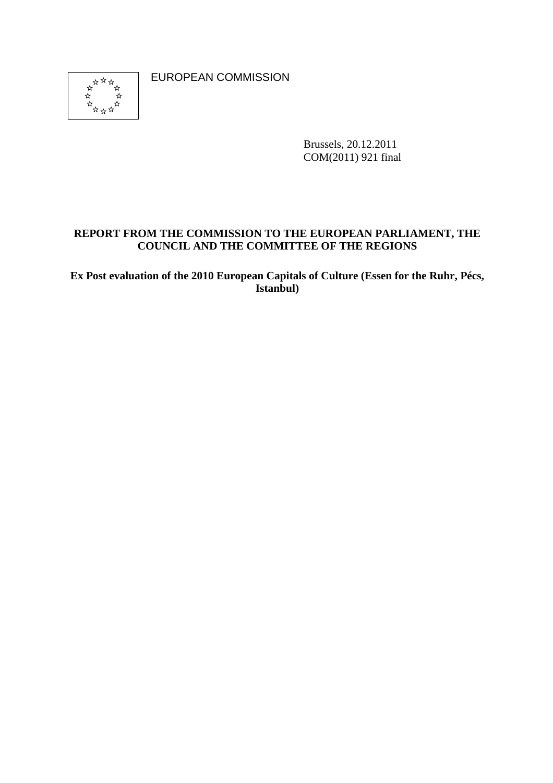

EUROPEAN COMMISSION

Brussels, 20.12.2011 COM(2011) 921 final

## **REPORT FROM THE COMMISSION TO THE EUROPEAN PARLIAMENT, THE COUNCIL AND THE COMMITTEE OF THE REGIONS**

**Ex Post evaluation of the 2010 European Capitals of Culture (Essen for the Ruhr, Pécs, Istanbul)**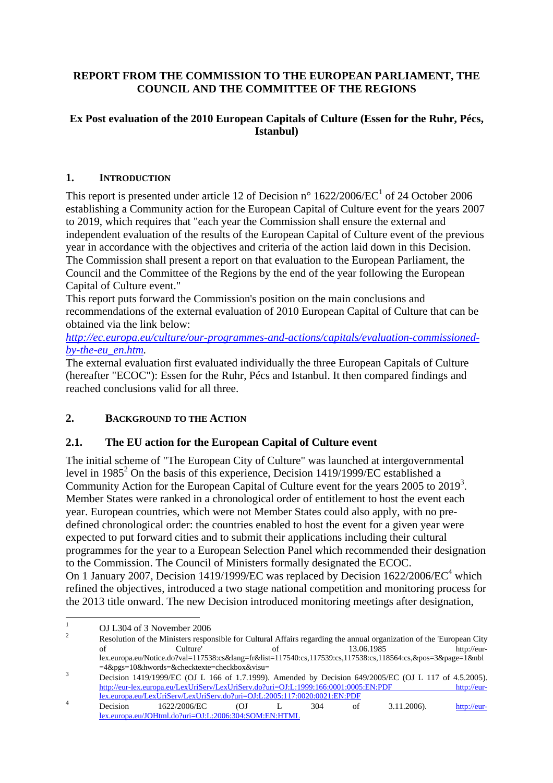## **REPORT FROM THE COMMISSION TO THE EUROPEAN PARLIAMENT, THE COUNCIL AND THE COMMITTEE OF THE REGIONS**

## **Ex Post evaluation of the 2010 European Capitals of Culture (Essen for the Ruhr, Pécs, Istanbul)**

## **1. INTRODUCTION**

This report is presented under article 12 of Decision n°  $1622/2006/EC^1$  of 24 October 2006 establishing a Community action for the European Capital of Culture event for the years 2007 to 2019, which requires that "each year the Commission shall ensure the external and independent evaluation of the results of the European Capital of Culture event of the previous year in accordance with the objectives and criteria of the action laid down in this Decision. The Commission shall present a report on that evaluation to the European Parliament, the Council and the Committee of the Regions by the end of the year following the European Capital of Culture event."

This report puts forward the Commission's position on the main conclusions and recommendations of the external evaluation of 2010 European Capital of Culture that can be obtained via the link below:

*[http://ec.europa.eu/culture/our-programmes-and-actions/capitals/evaluation-commissioned](http://ec.europa.eu/culture/our-programmes-and-actions/capitals/evaluation-commissioned-by-the-eu_en.htm)[by-the-eu\\_en.htm.](http://ec.europa.eu/culture/our-programmes-and-actions/capitals/evaluation-commissioned-by-the-eu_en.htm)* 

The external evaluation first evaluated individually the three European Capitals of Culture (hereafter "ECOC"): Essen for the Ruhr, Pécs and Istanbul. It then compared findings and reached conclusions valid for all three.

# **2. BACKGROUND TO THE ACTION**

### **2.1. The EU action for the European Capital of Culture event**

The initial scheme of "The European City of Culture" was launched at intergovernmental level in 1985<sup>2</sup> On the basis of this experience, Decision 1419/1999/EC established a Community Action for the European Capital of Culture event for the years  $2005$  to  $2019<sup>3</sup>$ . Member States were ranked in a chronological order of entitlement to host the event each year. European countries, which were not Member States could also apply, with no predefined chronological order: the countries enabled to host the event for a given year were expected to put forward cities and to submit their applications including their cultural programmes for the year to a European Selection Panel which recommended their designation to the Commission. The Council of Ministers formally designated the ECOC. On 1 January 2007, Decision 1419/1999/EC was replaced by Decision  $1622/2006/EC^4$  which refined the objectives, introduced a two stage national competition and monitoring process for the 2013 title onward. The new Decision introduced monitoring meetings after designation,

 $\frac{1}{1}$ OJ L304 of 3 November 2006

 $\overline{2}$ Resolution of the Ministers responsible for Cultural Affairs regarding the annual organization of the 'European City<br>of 13.06.1985 http://eurof Culture' of 13.06.1985 http://eurlex.europa.eu/Notice.do?val=117538:cs&lang=fr&list=117540:cs,117539:cs,117538:cs,118564:cs,&pos=3&page=1&nbl  $=4\&pgs=10\&hwords=\&checktexte=checkbox\&visu=$ <br>3

Decision 1419/1999/EC (OJ L 166 of 1.7.1999). Amended by Decision 649/2005/EC (OJ L 117 of 4.5.2005). http://eur-lex.europa.eu/LexUriServ/LexUriServ.do?uri=OJ:L:1999:166:0001:0005:EN:PDF http://eurlex.europa.eu/LexUriServ/LexUriServ.do?uri=OJ:L:2005:117:0020:0021:EN:PDF<br>
Decision 1622/2006/EC (OJ L 304 of 3.11.2006). [http://eur-](http://eur-lex.europa.eu/JOHtml.do?uri=OJ:L:2006:304:SOM:EN:HTML)

[lex.europa.eu/JOHtml.do?uri=OJ:L:2006:304:SOM:EN:HTML](http://eur-lex.europa.eu/JOHtml.do?uri=OJ:L:2006:304:SOM:EN:HTML)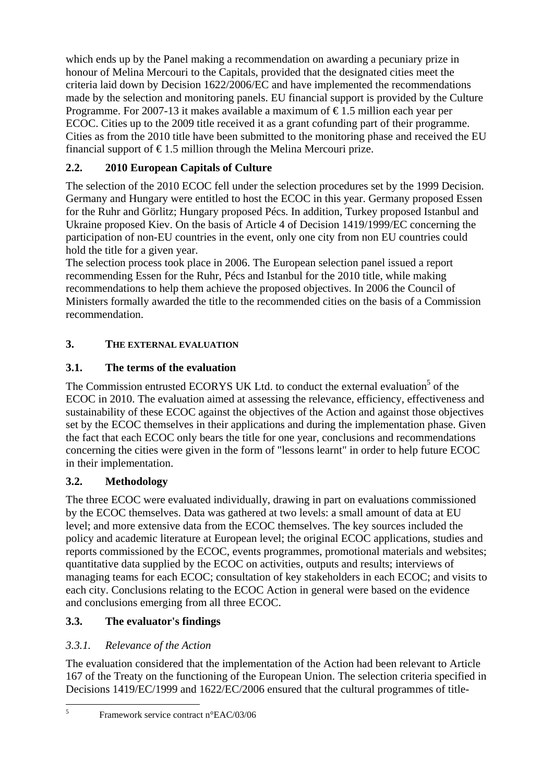which ends up by the Panel making a recommendation on awarding a pecuniary prize in honour of Melina Mercouri to the Capitals, provided that the designated cities meet the criteria laid down by Decision 1622/2006/EC and have implemented the recommendations made by the selection and monitoring panels. EU financial support is provided by the Culture Programme. For 2007-13 it makes available a maximum of  $\epsilon$ 1.5 million each year per ECOC. Cities up to the 2009 title received it as a grant cofunding part of their programme. Cities as from the 2010 title have been submitted to the monitoring phase and received the EU financial support of  $\epsilon$ 1.5 million through the Melina Mercouri prize.

# **2.2. 2010 European Capitals of Culture**

The selection of the 2010 ECOC fell under the selection procedures set by the 1999 Decision. Germany and Hungary were entitled to host the ECOC in this year. Germany proposed Essen for the Ruhr and Görlitz; Hungary proposed Pécs. In addition, Turkey proposed Istanbul and Ukraine proposed Kiev. On the basis of Article 4 of Decision 1419/1999/EC concerning the participation of non-EU countries in the event, only one city from non EU countries could hold the title for a given year.

The selection process took place in 2006. The European selection panel issued a report recommending Essen for the Ruhr, Pécs and Istanbul for the 2010 title, while making recommendations to help them achieve the proposed objectives. In 2006 the Council of Ministers formally awarded the title to the recommended cities on the basis of a Commission recommendation.

# **3. THE EXTERNAL EVALUATION**

# **3.1. The terms of the evaluation**

The Commission entrusted ECORYS UK Ltd. to conduct the external evaluation<sup>5</sup> of the ECOC in 2010. The evaluation aimed at assessing the relevance, efficiency, effectiveness and sustainability of these ECOC against the objectives of the Action and against those objectives set by the ECOC themselves in their applications and during the implementation phase. Given the fact that each ECOC only bears the title for one year, conclusions and recommendations concerning the cities were given in the form of "lessons learnt" in order to help future ECOC in their implementation.

# **3.2. Methodology**

The three ECOC were evaluated individually, drawing in part on evaluations commissioned by the ECOC themselves. Data was gathered at two levels: a small amount of data at EU level; and more extensive data from the ECOC themselves. The key sources included the policy and academic literature at European level; the original ECOC applications, studies and reports commissioned by the ECOC, events programmes, promotional materials and websites; quantitative data supplied by the ECOC on activities, outputs and results; interviews of managing teams for each ECOC; consultation of key stakeholders in each ECOC; and visits to each city. Conclusions relating to the ECOC Action in general were based on the evidence and conclusions emerging from all three ECOC.

# **3.3. The evaluator's findings**

# *3.3.1. Relevance of the Action*

The evaluation considered that the implementation of the Action had been relevant to Article 167 of the Treaty on the functioning of the European Union. The selection criteria specified in Decisions 1419/EC/1999 and 1622/EC/2006 ensured that the cultural programmes of title-

 $\frac{1}{5}$ 

Framework service contract n°EAC/03/06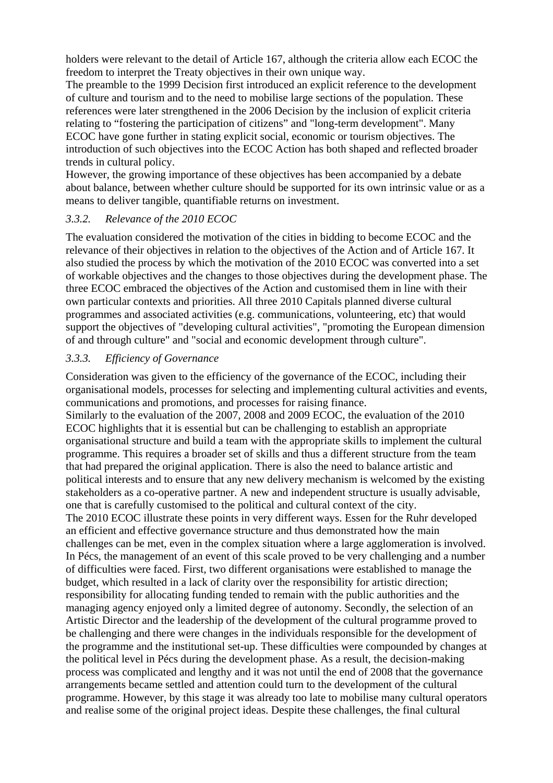holders were relevant to the detail of Article 167, although the criteria allow each ECOC the freedom to interpret the Treaty objectives in their own unique way.

The preamble to the 1999 Decision first introduced an explicit reference to the development of culture and tourism and to the need to mobilise large sections of the population. These references were later strengthened in the 2006 Decision by the inclusion of explicit criteria relating to "fostering the participation of citizens" and "long-term development". Many ECOC have gone further in stating explicit social, economic or tourism objectives. The introduction of such objectives into the ECOC Action has both shaped and reflected broader trends in cultural policy.

However, the growing importance of these objectives has been accompanied by a debate about balance, between whether culture should be supported for its own intrinsic value or as a means to deliver tangible, quantifiable returns on investment.

#### *3.3.2. Relevance of the 2010 ECOC*

The evaluation considered the motivation of the cities in bidding to become ECOC and the relevance of their objectives in relation to the objectives of the Action and of Article 167. It also studied the process by which the motivation of the 2010 ECOC was converted into a set of workable objectives and the changes to those objectives during the development phase. The three ECOC embraced the objectives of the Action and customised them in line with their own particular contexts and priorities. All three 2010 Capitals planned diverse cultural programmes and associated activities (e.g. communications, volunteering, etc) that would support the objectives of "developing cultural activities", "promoting the European dimension of and through culture" and "social and economic development through culture".

### *3.3.3. Efficiency of Governance*

Consideration was given to the efficiency of the governance of the ECOC, including their organisational models, processes for selecting and implementing cultural activities and events, communications and promotions, and processes for raising finance. Similarly to the evaluation of the 2007, 2008 and 2009 ECOC, the evaluation of the 2010 ECOC highlights that it is essential but can be challenging to establish an appropriate organisational structure and build a team with the appropriate skills to implement the cultural programme. This requires a broader set of skills and thus a different structure from the team that had prepared the original application. There is also the need to balance artistic and political interests and to ensure that any new delivery mechanism is welcomed by the existing stakeholders as a co-operative partner. A new and independent structure is usually advisable, one that is carefully customised to the political and cultural context of the city. The 2010 ECOC illustrate these points in very different ways. Essen for the Ruhr developed an efficient and effective governance structure and thus demonstrated how the main challenges can be met, even in the complex situation where a large agglomeration is involved. In Pécs, the management of an event of this scale proved to be very challenging and a number of difficulties were faced. First, two different organisations were established to manage the budget, which resulted in a lack of clarity over the responsibility for artistic direction; responsibility for allocating funding tended to remain with the public authorities and the managing agency enjoyed only a limited degree of autonomy. Secondly, the selection of an Artistic Director and the leadership of the development of the cultural programme proved to be challenging and there were changes in the individuals responsible for the development of the programme and the institutional set-up. These difficulties were compounded by changes at the political level in Pécs during the development phase. As a result, the decision-making process was complicated and lengthy and it was not until the end of 2008 that the governance arrangements became settled and attention could turn to the development of the cultural programme. However, by this stage it was already too late to mobilise many cultural operators and realise some of the original project ideas. Despite these challenges, the final cultural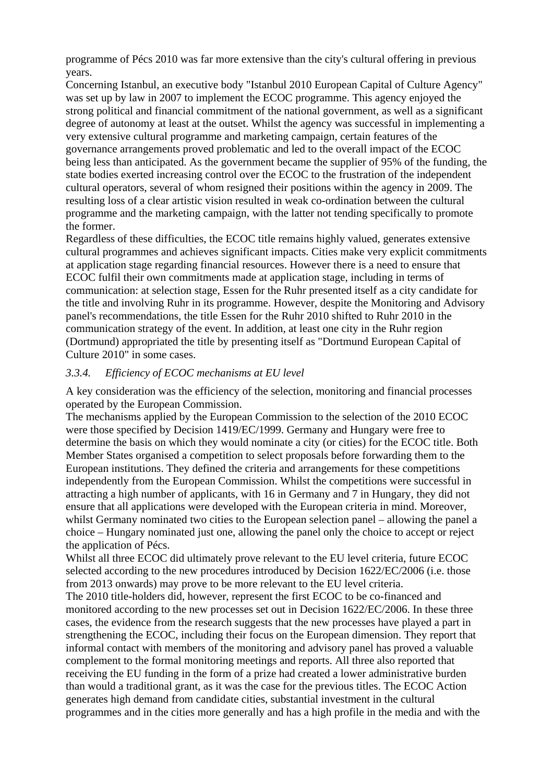programme of Pécs 2010 was far more extensive than the city's cultural offering in previous years.

Concerning Istanbul, an executive body "Istanbul 2010 European Capital of Culture Agency" was set up by law in 2007 to implement the ECOC programme. This agency enjoyed the strong political and financial commitment of the national government, as well as a significant degree of autonomy at least at the outset. Whilst the agency was successful in implementing a very extensive cultural programme and marketing campaign, certain features of the governance arrangements proved problematic and led to the overall impact of the ECOC being less than anticipated. As the government became the supplier of 95% of the funding, the state bodies exerted increasing control over the ECOC to the frustration of the independent cultural operators, several of whom resigned their positions within the agency in 2009. The resulting loss of a clear artistic vision resulted in weak co-ordination between the cultural programme and the marketing campaign, with the latter not tending specifically to promote the former.

Regardless of these difficulties, the ECOC title remains highly valued, generates extensive cultural programmes and achieves significant impacts. Cities make very explicit commitments at application stage regarding financial resources. However there is a need to ensure that ECOC fulfil their own commitments made at application stage, including in terms of communication: at selection stage, Essen for the Ruhr presented itself as a city candidate for the title and involving Ruhr in its programme. However, despite the Monitoring and Advisory panel's recommendations, the title Essen for the Ruhr 2010 shifted to Ruhr 2010 in the communication strategy of the event. In addition, at least one city in the Ruhr region (Dortmund) appropriated the title by presenting itself as "Dortmund European Capital of Culture 2010" in some cases.

#### *3.3.4. Efficiency of ECOC mechanisms at EU level*

A key consideration was the efficiency of the selection, monitoring and financial processes operated by the European Commission.

The mechanisms applied by the European Commission to the selection of the 2010 ECOC were those specified by Decision 1419/EC/1999. Germany and Hungary were free to determine the basis on which they would nominate a city (or cities) for the ECOC title. Both Member States organised a competition to select proposals before forwarding them to the European institutions. They defined the criteria and arrangements for these competitions independently from the European Commission. Whilst the competitions were successful in attracting a high number of applicants, with 16 in Germany and 7 in Hungary, they did not ensure that all applications were developed with the European criteria in mind. Moreover, whilst Germany nominated two cities to the European selection panel – allowing the panel a choice – Hungary nominated just one, allowing the panel only the choice to accept or reject the application of Pécs.

Whilst all three ECOC did ultimately prove relevant to the EU level criteria, future ECOC selected according to the new procedures introduced by Decision 1622/EC/2006 (i.e. those from 2013 onwards) may prove to be more relevant to the EU level criteria.

The 2010 title-holders did, however, represent the first ECOC to be co-financed and monitored according to the new processes set out in Decision 1622/EC/2006. In these three cases, the evidence from the research suggests that the new processes have played a part in strengthening the ECOC, including their focus on the European dimension. They report that informal contact with members of the monitoring and advisory panel has proved a valuable complement to the formal monitoring meetings and reports. All three also reported that receiving the EU funding in the form of a prize had created a lower administrative burden than would a traditional grant, as it was the case for the previous titles. The ECOC Action generates high demand from candidate cities, substantial investment in the cultural programmes and in the cities more generally and has a high profile in the media and with the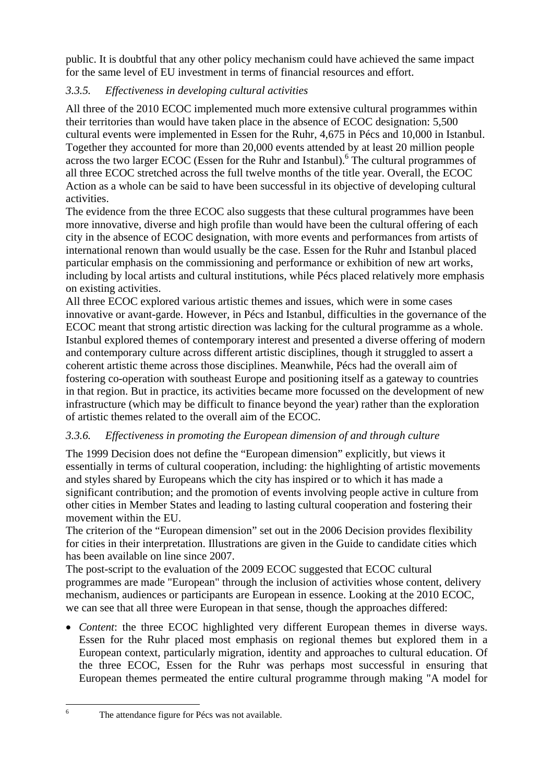public. It is doubtful that any other policy mechanism could have achieved the same impact for the same level of EU investment in terms of financial resources and effort.

# *3.3.5. Effectiveness in developing cultural activities*

All three of the 2010 ECOC implemented much more extensive cultural programmes within their territories than would have taken place in the absence of ECOC designation: 5,500 cultural events were implemented in Essen for the Ruhr, 4,675 in Pécs and 10,000 in Istanbul. Together they accounted for more than 20,000 events attended by at least 20 million people across the two larger ECOC (Essen for the Ruhr and Istanbul).<sup>6</sup> The cultural programmes of all three ECOC stretched across the full twelve months of the title year. Overall, the ECOC Action as a whole can be said to have been successful in its objective of developing cultural activities.

The evidence from the three ECOC also suggests that these cultural programmes have been more innovative, diverse and high profile than would have been the cultural offering of each city in the absence of ECOC designation, with more events and performances from artists of international renown than would usually be the case. Essen for the Ruhr and Istanbul placed particular emphasis on the commissioning and performance or exhibition of new art works, including by local artists and cultural institutions, while Pécs placed relatively more emphasis on existing activities.

All three ECOC explored various artistic themes and issues, which were in some cases innovative or avant-garde. However, in Pécs and Istanbul, difficulties in the governance of the ECOC meant that strong artistic direction was lacking for the cultural programme as a whole. Istanbul explored themes of contemporary interest and presented a diverse offering of modern and contemporary culture across different artistic disciplines, though it struggled to assert a coherent artistic theme across those disciplines. Meanwhile, Pécs had the overall aim of fostering co-operation with southeast Europe and positioning itself as a gateway to countries in that region. But in practice, its activities became more focussed on the development of new infrastructure (which may be difficult to finance beyond the year) rather than the exploration of artistic themes related to the overall aim of the ECOC.

# *3.3.6. Effectiveness in promoting the European dimension of and through culture*

The 1999 Decision does not define the "European dimension" explicitly, but views it essentially in terms of cultural cooperation, including: the highlighting of artistic movements and styles shared by Europeans which the city has inspired or to which it has made a significant contribution; and the promotion of events involving people active in culture from other cities in Member States and leading to lasting cultural cooperation and fostering their movement within the EU.

The criterion of the "European dimension" set out in the 2006 Decision provides flexibility for cities in their interpretation. Illustrations are given in the Guide to candidate cities which has been available on line since 2007.

The post-script to the evaluation of the 2009 ECOC suggested that ECOC cultural programmes are made "European" through the inclusion of activities whose content, delivery mechanism, audiences or participants are European in essence. Looking at the 2010 ECOC, we can see that all three were European in that sense, though the approaches differed:

• *Content*: the three ECOC highlighted very different European themes in diverse ways. Essen for the Ruhr placed most emphasis on regional themes but explored them in a European context, particularly migration, identity and approaches to cultural education. Of the three ECOC, Essen for the Ruhr was perhaps most successful in ensuring that European themes permeated the entire cultural programme through making "A model for

The attendance figure for Pécs was not available.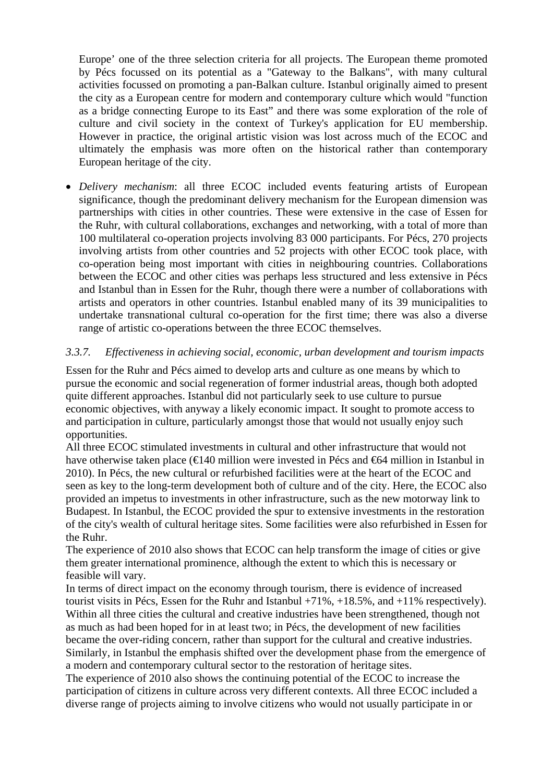Europe' one of the three selection criteria for all projects. The European theme promoted by Pécs focussed on its potential as a "Gateway to the Balkans", with many cultural activities focussed on promoting a pan-Balkan culture. Istanbul originally aimed to present the city as a European centre for modern and contemporary culture which would "function as a bridge connecting Europe to its East" and there was some exploration of the role of culture and civil society in the context of Turkey's application for EU membership. However in practice, the original artistic vision was lost across much of the ECOC and ultimately the emphasis was more often on the historical rather than contemporary European heritage of the city.

• *Delivery mechanism*: all three ECOC included events featuring artists of European significance, though the predominant delivery mechanism for the European dimension was partnerships with cities in other countries. These were extensive in the case of Essen for the Ruhr, with cultural collaborations, exchanges and networking, with a total of more than 100 multilateral co-operation projects involving 83 000 participants. For Pécs, 270 projects involving artists from other countries and 52 projects with other ECOC took place, with co-operation being most important with cities in neighbouring countries. Collaborations between the ECOC and other cities was perhaps less structured and less extensive in Pécs and Istanbul than in Essen for the Ruhr, though there were a number of collaborations with artists and operators in other countries. Istanbul enabled many of its 39 municipalities to undertake transnational cultural co-operation for the first time; there was also a diverse range of artistic co-operations between the three ECOC themselves.

### *3.3.7. Effectiveness in achieving social, economic, urban development and tourism impacts*

Essen for the Ruhr and Pécs aimed to develop arts and culture as one means by which to pursue the economic and social regeneration of former industrial areas, though both adopted quite different approaches. Istanbul did not particularly seek to use culture to pursue economic objectives, with anyway a likely economic impact. It sought to promote access to and participation in culture, particularly amongst those that would not usually enjoy such opportunities.

All three ECOC stimulated investments in cultural and other infrastructure that would not have otherwise taken place (€140 million were invested in Pécs and €64 million in Istanbul in 2010). In Pécs, the new cultural or refurbished facilities were at the heart of the ECOC and seen as key to the long-term development both of culture and of the city. Here, the ECOC also provided an impetus to investments in other infrastructure, such as the new motorway link to Budapest. In Istanbul, the ECOC provided the spur to extensive investments in the restoration of the city's wealth of cultural heritage sites. Some facilities were also refurbished in Essen for the Ruhr.

The experience of 2010 also shows that ECOC can help transform the image of cities or give them greater international prominence, although the extent to which this is necessary or feasible will vary.

In terms of direct impact on the economy through tourism, there is evidence of increased tourist visits in Pécs, Essen for the Ruhr and Istanbul +71%, +18.5%, and +11% respectively). Within all three cities the cultural and creative industries have been strengthened, though not as much as had been hoped for in at least two; in Pécs, the development of new facilities became the over-riding concern, rather than support for the cultural and creative industries. Similarly, in Istanbul the emphasis shifted over the development phase from the emergence of a modern and contemporary cultural sector to the restoration of heritage sites.

The experience of 2010 also shows the continuing potential of the ECOC to increase the participation of citizens in culture across very different contexts. All three ECOC included a diverse range of projects aiming to involve citizens who would not usually participate in or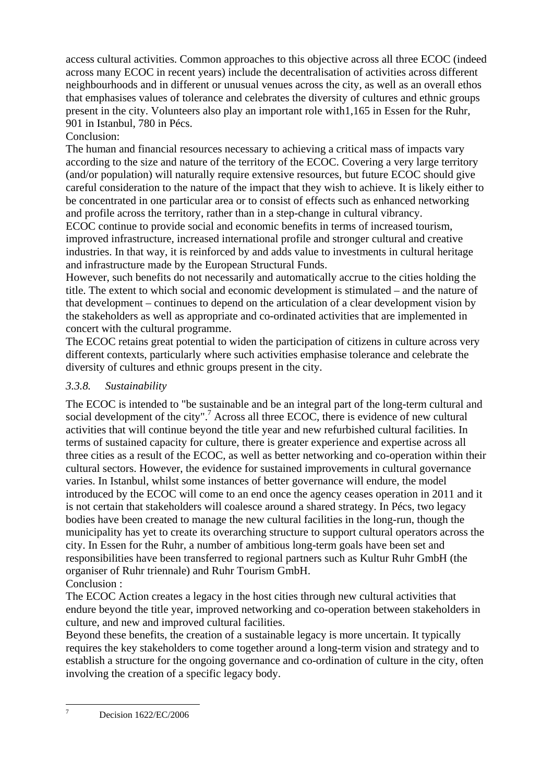access cultural activities. Common approaches to this objective across all three ECOC (indeed across many ECOC in recent years) include the decentralisation of activities across different neighbourhoods and in different or unusual venues across the city, as well as an overall ethos that emphasises values of tolerance and celebrates the diversity of cultures and ethnic groups present in the city. Volunteers also play an important role with1,165 in Essen for the Ruhr, 901 in Istanbul, 780 in Pécs.

# Conclusion:

The human and financial resources necessary to achieving a critical mass of impacts vary according to the size and nature of the territory of the ECOC. Covering a very large territory (and/or population) will naturally require extensive resources, but future ECOC should give careful consideration to the nature of the impact that they wish to achieve. It is likely either to be concentrated in one particular area or to consist of effects such as enhanced networking and profile across the territory, rather than in a step-change in cultural vibrancy.

ECOC continue to provide social and economic benefits in terms of increased tourism, improved infrastructure, increased international profile and stronger cultural and creative industries. In that way, it is reinforced by and adds value to investments in cultural heritage and infrastructure made by the European Structural Funds.

However, such benefits do not necessarily and automatically accrue to the cities holding the title. The extent to which social and economic development is stimulated – and the nature of that development – continues to depend on the articulation of a clear development vision by the stakeholders as well as appropriate and co-ordinated activities that are implemented in concert with the cultural programme.

The ECOC retains great potential to widen the participation of citizens in culture across very different contexts, particularly where such activities emphasise tolerance and celebrate the diversity of cultures and ethnic groups present in the city.

## *3.3.8. Sustainability*

The ECOC is intended to "be sustainable and be an integral part of the long-term cultural and social development of the city".<sup>7</sup> Across all three ECOC, there is evidence of new cultural activities that will continue beyond the title year and new refurbished cultural facilities. In terms of sustained capacity for culture, there is greater experience and expertise across all three cities as a result of the ECOC, as well as better networking and co-operation within their cultural sectors. However, the evidence for sustained improvements in cultural governance varies. In Istanbul, whilst some instances of better governance will endure, the model introduced by the ECOC will come to an end once the agency ceases operation in 2011 and it is not certain that stakeholders will coalesce around a shared strategy. In Pécs, two legacy bodies have been created to manage the new cultural facilities in the long-run, though the municipality has yet to create its overarching structure to support cultural operators across the city. In Essen for the Ruhr, a number of ambitious long-term goals have been set and responsibilities have been transferred to regional partners such as Kultur Ruhr GmbH (the organiser of Ruhr triennale) and Ruhr Tourism GmbH. Conclusion :

The ECOC Action creates a legacy in the host cities through new cultural activities that endure beyond the title year, improved networking and co-operation between stakeholders in culture, and new and improved cultural facilities.

Beyond these benefits, the creation of a sustainable legacy is more uncertain. It typically requires the key stakeholders to come together around a long-term vision and strategy and to establish a structure for the ongoing governance and co-ordination of culture in the city, often involving the creation of a specific legacy body.

 $\frac{1}{7}$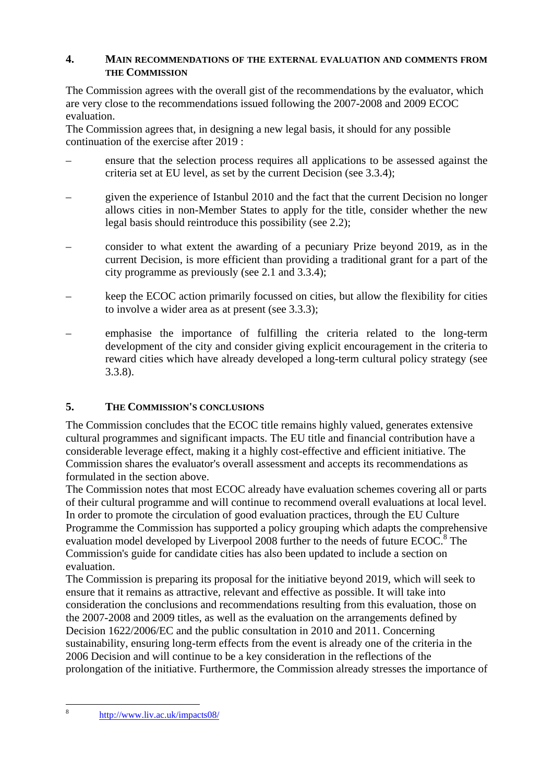### **4. MAIN RECOMMENDATIONS OF THE EXTERNAL EVALUATION AND COMMENTS FROM THE COMMISSION**

The Commission agrees with the overall gist of the recommendations by the evaluator, which are very close to the recommendations issued following the 2007-2008 and 2009 ECOC evaluation.

The Commission agrees that, in designing a new legal basis, it should for any possible continuation of the exercise after 2019 :

- ensure that the selection process requires all applications to be assessed against the criteria set at EU level, as set by the current Decision (see 3.3.4);
- given the experience of Istanbul 2010 and the fact that the current Decision no longer allows cities in non-Member States to apply for the title, consider whether the new legal basis should reintroduce this possibility (see 2.2);
- consider to what extent the awarding of a pecuniary Prize beyond 2019, as in the current Decision, is more efficient than providing a traditional grant for a part of the city programme as previously (see 2.1 and 3.3.4);
- keep the ECOC action primarily focussed on cities, but allow the flexibility for cities to involve a wider area as at present (see 3.3.3);
- emphasise the importance of fulfilling the criteria related to the long-term development of the city and consider giving explicit encouragement in the criteria to reward cities which have already developed a long-term cultural policy strategy (see 3.3.8).

# **5. THE COMMISSION'S CONCLUSIONS**

The Commission concludes that the ECOC title remains highly valued, generates extensive cultural programmes and significant impacts. The EU title and financial contribution have a considerable leverage effect, making it a highly cost-effective and efficient initiative. The Commission shares the evaluator's overall assessment and accepts its recommendations as formulated in the section above.

The Commission notes that most ECOC already have evaluation schemes covering all or parts of their cultural programme and will continue to recommend overall evaluations at local level. In order to promote the circulation of good evaluation practices, through the EU Culture Programme the Commission has supported a policy grouping which adapts the comprehensive evaluation model developed by Liverpool 2008 further to the needs of future  $ECOC<sup>8</sup>$ . The Commission's guide for candidate cities has also been updated to include a section on evaluation.

The Commission is preparing its proposal for the initiative beyond 2019, which will seek to ensure that it remains as attractive, relevant and effective as possible. It will take into consideration the conclusions and recommendations resulting from this evaluation, those on the 2007-2008 and 2009 titles, as well as the evaluation on the arrangements defined by Decision 1622/2006/EC and the public consultation in 2010 and 2011. Concerning sustainability, ensuring long-term effects from the event is already one of the criteria in the 2006 Decision and will continue to be a key consideration in the reflections of the prolongation of the initiative. Furthermore, the Commission already stresses the importance of

 $\mathbf{\hat{x}}$ 

<sup>8</sup> <http://www.liv.ac.uk/impacts08/>